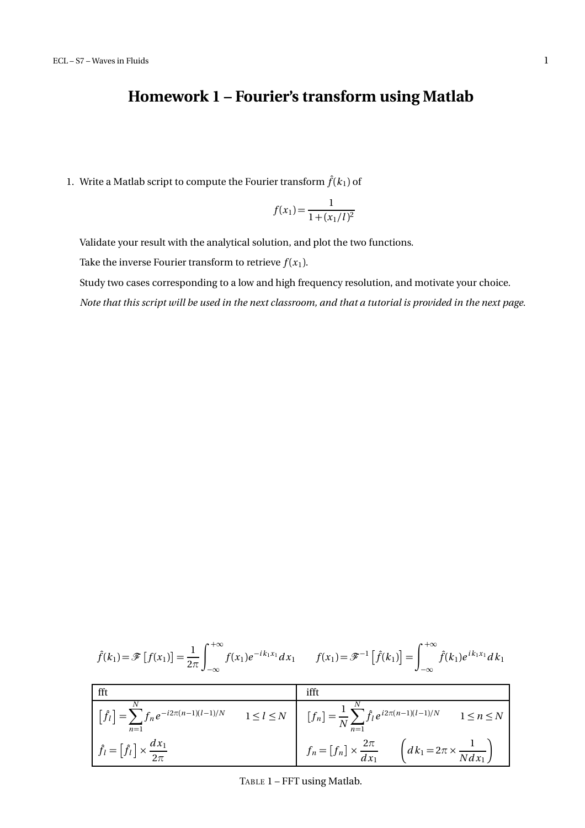## **Homework 1 – Fourier's transform using Matlab**

1. Write a Matlab script to compute the Fourier transform  $\hat{f}(k_1)$  of

$$
f(x_1) = \frac{1}{1 + (x_1/l)^2}
$$

Validate your result with the analytical solution, and plot the two functions.

Take the inverse Fourier transform to retrieve  $f(x_1)$ .

Study two cases corresponding to a low and high frequency resolution, and motivate your choice.

*Note that this script will be used in the next classroom, and that a tutorial is provided in the next page.*

$$
\hat{f}(k_1) = \mathscr{F}[f(x_1)] = \frac{1}{2\pi} \int_{-\infty}^{+\infty} f(x_1) e^{-ik_1x_1} dx_1 \qquad f(x_1) = \mathscr{F}^{-1}[\hat{f}(k_1)] = \int_{-\infty}^{+\infty} \hat{f}(k_1) e^{ik_1x_1} dx_1
$$

| fft                                                                                |                   | ifft                                                                                                          |
|------------------------------------------------------------------------------------|-------------------|---------------------------------------------------------------------------------------------------------------|
| $\left  \int_{l} \hat{f}_{l} \right  = \sum f_{n} e^{-i2\pi(n-1)(l-1)/N}$<br>$n=1$ | $1 \leq l \leq N$ | $[f_n] = \frac{1}{N} \sum_{l=1}^{N} \hat{f}_l e^{i2\pi(n-1)(l-1)/N}$<br>$1 \leq n \leq N$<br>$\overline{n=1}$ |
| $\hat{f}_l = [\hat{f}_l] \times \frac{dx_1}{2\pi}$                                 |                   | $f_n = [f_n] \times \frac{2\pi}{dx_1}$ $\left(dk_1 = 2\pi \times \frac{1}{Ndx_1}\right)$                      |

TABLE 1 – FFT using Matlab.